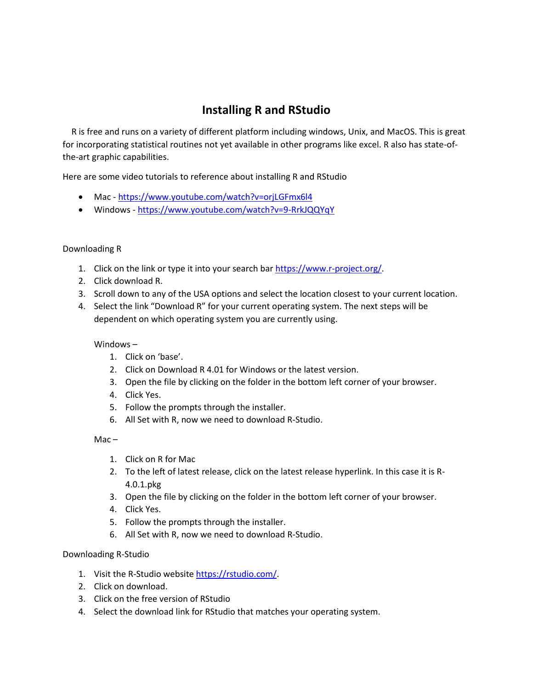## **Installing R and RStudio**

 R is free and runs on a variety of different platform including windows, Unix, and MacOS. This is great for incorporating statistical routines not yet available in other programs like excel. R also has state-ofthe-art graphic capabilities.

Here are some video tutorials to reference about installing R and RStudio

- Mac <https://www.youtube.com/watch?v=orjLGFmx6l4>
- Windows <https://www.youtube.com/watch?v=9-RrkJQQYqY>

## Downloading R

- 1. Click on the link or type it into your search bar [https://www.r-project.org/.](https://www.r-project.org/)
- 2. Click download R.
- 3. Scroll down to any of the USA options and select the location closest to your current location.
- 4. Select the link "Download R" for your current operating system. The next steps will be dependent on which operating system you are currently using.

## Windows –

- 1. Click on 'base'.
- 2. Click on Download R 4.01 for Windows or the latest version.
- 3. Open the file by clicking on the folder in the bottom left corner of your browser.
- 4. Click Yes.
- 5. Follow the prompts through the installer.
- 6. All Set with R, now we need to download R-Studio.

 $Mac -$ 

- 1. Click on R for Mac
- 2. To the left of latest release, click on the latest release hyperlink. In this case it is R-4.0.1.pkg
- 3. Open the file by clicking on the folder in the bottom left corner of your browser.
- 4. Click Yes.
- 5. Follow the prompts through the installer.
- 6. All Set with R, now we need to download R-Studio.

## Downloading R-Studio

- 1. Visit the R-Studio website [https://rstudio.com/.](https://rstudio.com/)
- 2. Click on download.
- 3. Click on the free version of RStudio
- 4. Select the download link for RStudio that matches your operating system.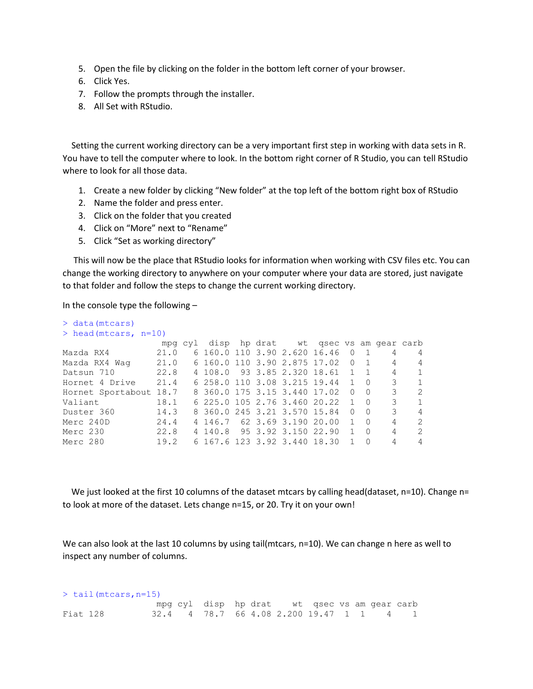- 5. Open the file by clicking on the folder in the bottom left corner of your browser.
- 6. Click Yes.
- 7. Follow the prompts through the installer.
- 8. All Set with RStudio.

 Setting the current working directory can be a very important first step in working with data sets in R. You have to tell the computer where to look. In the bottom right corner of R Studio, you can tell RStudio where to look for all those data.

- 1. Create a new folder by clicking "New folder" at the top left of the bottom right box of RStudio
- 2. Name the folder and press enter.
- 3. Click on the folder that you created
- 4. Click on "More" next to "Rename"
- 5. Click "Set as working directory"

 This will now be the place that RStudio looks for information when working with CSV files etc. You can change the working directory to anywhere on your computer where your data are stored, just navigate to that folder and follow the steps to change the current working directory.

In the console type the following  $-$ 

| $>$ data (mtcars)       |      |         |         |  |                                      |              |                |   |                |
|-------------------------|------|---------|---------|--|--------------------------------------|--------------|----------------|---|----------------|
| $>$ head (mtcars, n=10) |      |         |         |  |                                      |              |                |   |                |
|                         |      | mpg cyl |         |  | disp hp drat wt qsec vs am qear carb |              |                |   |                |
| Mazda RX4               | 21.0 |         |         |  | 6 160.0 110 3.90 2.620 16.46 0       |              | $\overline{1}$ | 4 | 4              |
| Mazda RX4 Waq           | 21.0 |         |         |  | 6 160.0 110 3.90 2.875 17.02 0       |              | $\overline{1}$ | 4 | 4              |
| Datsun 710              | 22.8 |         | 4 108.0 |  | 93 3.85 2.320 18.61 1                |              | $\overline{1}$ | 4 | $\mathbf{1}$   |
| Hornet 4 Drive          | 21.4 |         |         |  | 6 258.0 110 3.08 3.215 19.44 1       |              | $\bigcirc$     | 3 | $\mathbf{1}$   |
| Hornet Sportabout 18.7  |      |         |         |  | 8 360.0 175 3.15 3.440 17.02         | $\Omega$     | - 0            | 3 | 2              |
| Valiant                 | 18.1 |         |         |  | 6 225.0 105 2.76 3.460 20.22         | $\mathbf{1}$ | $\bigcirc$     | 3 | $\mathbf{1}$   |
| Duster 360              | 14.3 |         |         |  | 8 360.0 245 3.21 3.570 15.84         | $\Omega$     | $\bigcirc$     | 3 | $\overline{4}$ |
| Merc 240D               | 24.4 |         |         |  | 4 146.7 62 3.69 3.190 20.00          | $\mathbf{1}$ | $\bigcirc$     | 4 | 2              |
| Merc 230                | 22.8 |         |         |  | 4 140.8 95 3.92 3.150 22.90          | $\mathbf{1}$ | $\bigcirc$     | 4 | 2              |
| Merc 280                | 19.2 |         |         |  | 6 167 6 123 3.92 3.440 18.30         |              | - 0            | 4 | 4              |

We just looked at the first 10 columns of the dataset mtcars by calling head(dataset, n=10). Change n= to look at more of the dataset. Lets change n=15, or 20. Try it on your own!

We can also look at the last 10 columns by using tail(mtcars, n=10). We can change n here as well to inspect any number of columns.

| $>$ tail (mtcars, n=15) |  |  |  |  |  |  |                                              |  |  |  |  |  |
|-------------------------|--|--|--|--|--|--|----------------------------------------------|--|--|--|--|--|
|                         |  |  |  |  |  |  | mpg cyl disp hp drat wt gsec vs am gear carb |  |  |  |  |  |
| Fiat 128                |  |  |  |  |  |  | 32.4 4 78.7 66 4.08 2.200 19.47 1 1 4 1      |  |  |  |  |  |